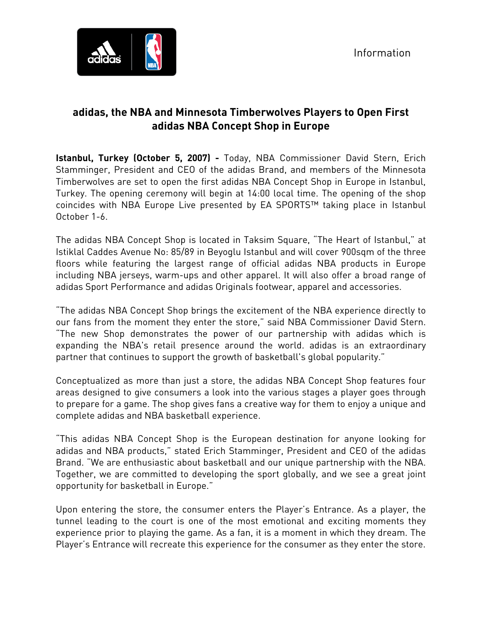

# **adidas, the NBA and Minnesota Timberwolves Players to Open First adidas NBA Concept Shop in Europe**

**Istanbul, Turkey (October 5, 2007) -** Today, NBA Commissioner David Stern, Erich Stamminger, President and CEO of the adidas Brand, and members of the Minnesota Timberwolves are set to open the first adidas NBA Concept Shop in Europe in Istanbul, Turkey. The opening ceremony will begin at 14:00 local time. The opening of the shop coincides with NBA Europe Live presented by EA SPORTS™ taking place in Istanbul October 1-6.

The adidas NBA Concept Shop is located in Taksim Square, "The Heart of Istanbul," at Istiklal Caddes Avenue No: 85/89 in Beyoglu Istanbul and will cover 900sqm of the three floors while featuring the largest range of official adidas NBA products in Europe including NBA jerseys, warm-ups and other apparel. It will also offer a broad range of adidas Sport Performance and adidas Originals footwear, apparel and accessories.

"The adidas NBA Concept Shop brings the excitement of the NBA experience directly to our fans from the moment they enter the store," said NBA Commissioner David Stern. "The new Shop demonstrates the power of our partnership with adidas which is expanding the NBA's retail presence around the world. adidas is an extraordinary partner that continues to support the growth of basketball's global popularity."

Conceptualized as more than just a store, the adidas NBA Concept Shop features four areas designed to give consumers a look into the various stages a player goes through to prepare for a game. The shop gives fans a creative way for them to enjoy a unique and complete adidas and NBA basketball experience.

"This adidas NBA Concept Shop is the European destination for anyone looking for adidas and NBA products," stated Erich Stamminger, President and CEO of the adidas Brand. "We are enthusiastic about basketball and our unique partnership with the NBA. Together, we are committed to developing the sport globally, and we see a great joint opportunity for basketball in Europe."

Upon entering the store, the consumer enters the Player's Entrance. As a player, the tunnel leading to the court is one of the most emotional and exciting moments they experience prior to playing the game. As a fan, it is a moment in which they dream. The Player's Entrance will recreate this experience for the consumer as they enter the store.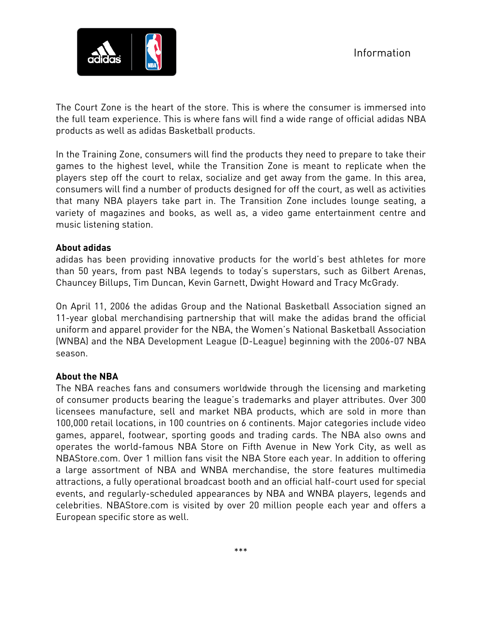

The Court Zone is the heart of the store. This is where the consumer is immersed into the full team experience. This is where fans will find a wide range of official adidas NBA products as well as adidas Basketball products.

In the Training Zone, consumers will find the products they need to prepare to take their games to the highest level, while the Transition Zone is meant to replicate when the players step off the court to relax, socialize and get away from the game. In this area, consumers will find a number of products designed for off the court, as well as activities that many NBA players take part in. The Transition Zone includes lounge seating, a variety of magazines and books, as well as, a video game entertainment centre and music listening station.

### **About adidas**

adidas has been providing innovative products for the world's best athletes for more than 50 years, from past NBA legends to today's superstars, such as Gilbert Arenas, Chauncey Billups, Tim Duncan, Kevin Garnett, Dwight Howard and Tracy McGrady.

On April 11, 2006 the adidas Group and the National Basketball Association signed an 11-year global merchandising partnership that will make the adidas brand the official uniform and apparel provider for the NBA, the Women's National Basketball Association (WNBA) and the NBA Development League (D-League) beginning with the 2006-07 NBA season.

## **About the NBA**

The NBA reaches fans and consumers worldwide through the licensing and marketing of consumer products bearing the league's trademarks and player attributes. Over 300 licensees manufacture, sell and market NBA products, which are sold in more than 100,000 retail locations, in 100 countries on 6 continents. Major categories include video games, apparel, footwear, sporting goods and trading cards. The NBA also owns and operates the world-famous NBA Store on Fifth Avenue in New York City, as well as NBAStore.com. Over 1 million fans visit the NBA Store each year. In addition to offering a large assortment of NBA and WNBA merchandise, the store features multimedia attractions, a fully operational broadcast booth and an official half-court used for special events, and regularly-scheduled appearances by NBA and WNBA players, legends and celebrities. NBAStore.com is visited by over 20 million people each year and offers a European specific store as well.